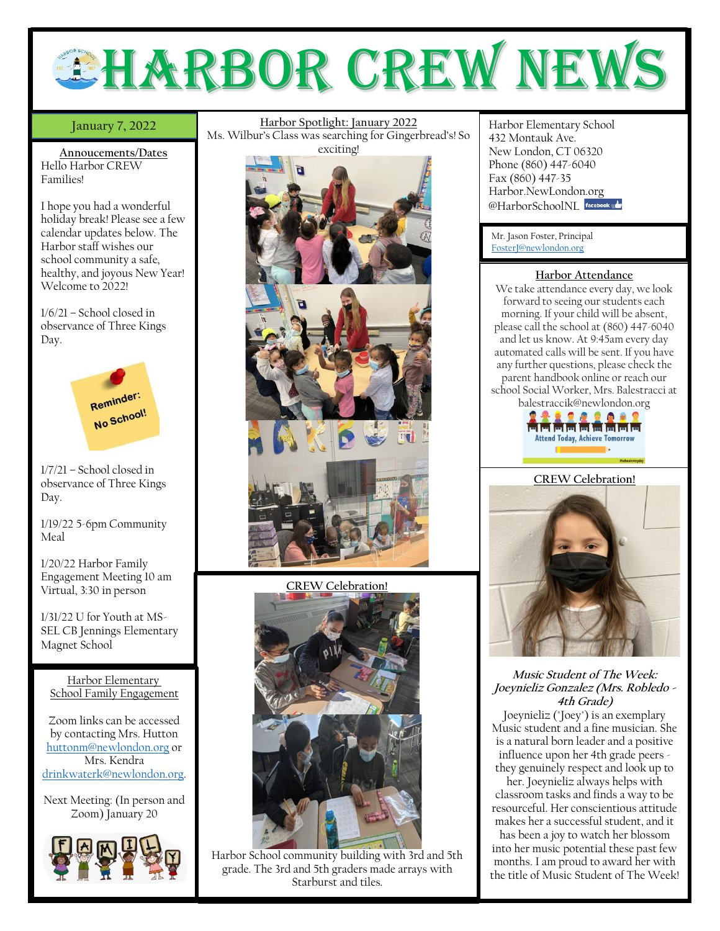

## **January 7, 2022**

**Annoucements/Dates** Hello Harbor CREW Families!

I hope you had a wonderful holiday break! Please see a few calendar updates below. The Harbor staff wishes our school community a safe, healthy, and joyous New Year! Welcome to 2022!

1/6/21 – School closed in observance of Three Kings Day.



1/7/21 – School closed in observance of Three Kings Day.

1/19/22 5-6pm Community Meal

1/20/22 Harbor Family Engagement Meeting 10 am Virtual, 3:30 in person

1/31/22 U for Youth at MS-SEL CB Jennings Elementary Magnet School

Harbor Elementary School Family Engagement

Zoom links can be accessed by contacting Mrs. Hutton [huttonm@newlondon.org](mailto:huttonm@newlondon.org) or Mrs. Kendra [drinkwaterk@newlondon.org.](mailto:drinkwaterk@newlondon.org)

Next Meeting: (In person and Zoom) January 20



**January 7, 2022** Harbor Spotlight: January 2022 Harbor Elementary School **Harbor Spotlight: January 2022** Ms. Wilbur's Class was searching for Gingerbread's! So



**CREW Celebration!**



Harbor School community building with 3rd and 5th grade. The 3rd and 5th graders made arrays with Starburst and tiles.

432 Montauk Ave. New London, CT 06320 Phone (860) 447-6040 Fax (860) 447-35 Harbor.NewLondon.org @HarborSchoolNI facebook

Mr. Jason Foster, Principal [FosterJ@newlondon.org](mailto:FosterJ@newlondon.org)

### **Harbor Attendance**

We take attendance every day, we look forward to seeing our students each morning. If your child will be absent, please call the school at (860) 447-6040 and let us know. At 9:45am every day automated calls will be sent. If you have any further questions, please check the parent handbook online or reach our school Social Worker, Mrs. Balestracci at balestraccik@newlondon.org



**CREW Celebration!**



# **Music Student of The Week: Joeynieliz Gonzalez (Mrs. Robledo - 4th Grade)**

Joeynieliz ("Joey") is an exemplary Music student and a fine musician. She is a natural born leader and a positive influence upon her 4th grade peers they genuinely respect and look up to

her. Joeynieliz always helps with classroom tasks and finds a way to be resourceful. Her conscientious attitude makes her a successful student, and it has been a joy to watch her blossom into her music potential these past few months. I am proud to award her with the title of Music Student of The Week!